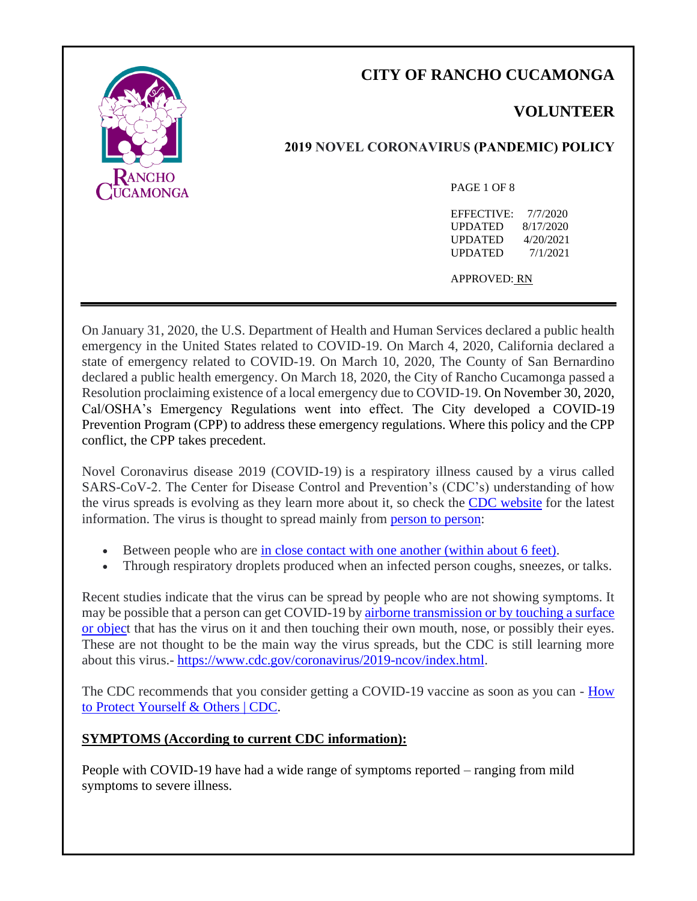

# **CITY OF RANCHO CUCAMONGA**

# **VOLUNTEER**

# **2019 NOVEL CORONAVIRUS (PANDEMIC) POLICY**

#### PAGE 1 OF 8

EFFECTIVE: 7/7/2020 UPDATED 8/17/2020 UPDATED 4/20/2021 UPDATED 7/1/2021

APPROVED: RN

On January 31, 2020, the U.S. Department of Health and Human Services declared a public health emergency in the United States related to COVID-19. On March 4, 2020, California declared a state of emergency related to COVID-19. On March 10, 2020, The County of San Bernardino declared a public health emergency. On March 18, 2020, the City of Rancho Cucamonga passed a Resolution proclaiming existence of a local emergency due to COVID-19. On November 30, 2020, Cal/OSHA's Emergency Regulations went into effect. The City developed a COVID-19 Prevention Program (CPP) to address these emergency regulations. Where this policy and the CPP conflict, the CPP takes precedent.

Novel Coronavirus disease 2019 (COVID-19) is a respiratory illness caused by a virus called SARS-CoV-2. The Center for Disease Control and Prevention's (CDC's) understanding of how the virus spreads is evolving as they learn more about it, so check the [CDC website](https://www.cdc.gov/coronavirus/2019-ncov/prevent-getting-sick/how-covid-spreads.html) for the latest information. The virus is thought to spread mainly from [person to person:](https://www.cdc.gov/coronavirus/2019-ncov/prevent-getting-sick/how-covid-spreads.html)

- Between people who are [in close contact with one another \(within about 6 feet\).](https://www.cdc.gov/coronavirus/2019-ncov/prevent-getting-sick/social-distancing.html)
- Through respiratory droplets produced when an infected person coughs, sneezes, or talks.

Recent studies indicate that the virus can be spread by people who are not showing symptoms. It may be possible that a person can get COVID-19 b[y airborne transmission or by touching a surface](https://www.cdc.gov/coronavirus/2019-ncov/prevent-getting-sick/how-covid-spreads.html)  [or object](https://www.cdc.gov/coronavirus/2019-ncov/prevent-getting-sick/how-covid-spreads.html) that has the virus on it and then touching their own mouth, nose, or possibly their eyes. These are not thought to be the main way the virus spreads, but the CDC is still learning more about this virus.- [https://www.cdc.gov/coronavirus/2019-ncov/index.html.](https://www.cdc.gov/coronavirus/2019-ncov/index.html)

The CDC recommends that you consider getting a COVID-19 vaccine as soon as you can - How [to Protect Yourself & Others | CDC.](https://www.cdc.gov/coronavirus/2019-ncov/prevent-getting-sick/prevention.html)

# **SYMPTOMS (According to current CDC information):**

People with COVID-19 have had a wide range of symptoms reported – ranging from mild symptoms to severe illness.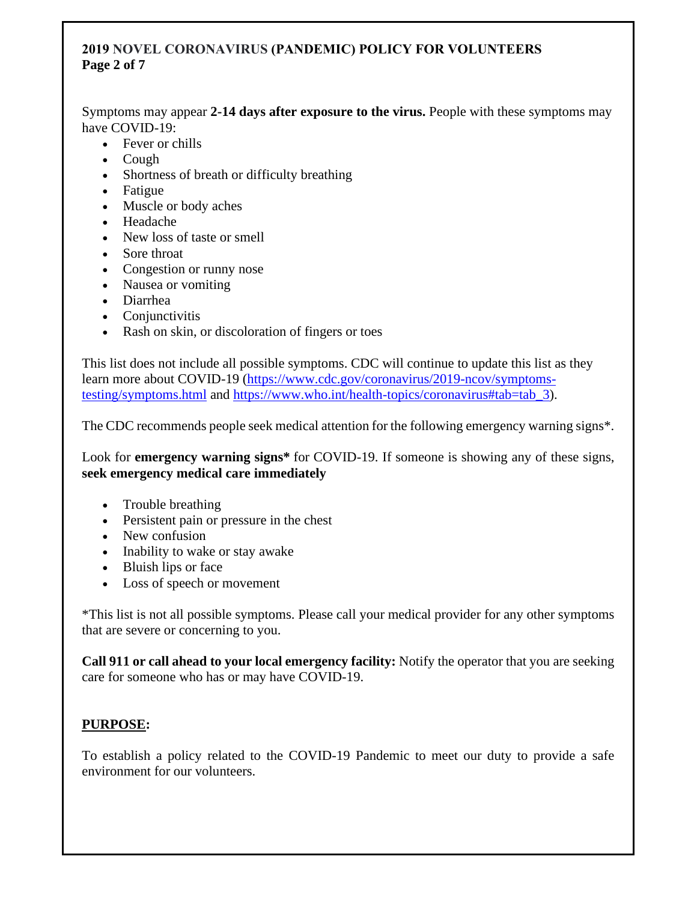## **2019 NOVEL CORONAVIRUS (PANDEMIC) POLICY FOR VOLUNTEERS Page 2 of 7**

Symptoms may appear **2-14 days after exposure to the virus.** People with these symptoms may have COVID-19:

- Fever or chills
- Cough
- Shortness of breath or difficulty breathing
- Fatigue
- Muscle or body aches
- Headache
- New loss of taste or smell
- Sore throat
- Congestion or runny nose
- Nausea or vomiting
- Diarrhea
- Conjunctivitis
- Rash on skin, or discoloration of fingers or toes

This list does not include all possible symptoms. CDC will continue to update this list as they learn more about COVID-19 [\(https://www.cdc.gov/coronavirus/2019-ncov/symptoms](https://www.cdc.gov/coronavirus/2019-ncov/symptoms-testing/symptoms.html)[testing/symptoms.html](https://www.cdc.gov/coronavirus/2019-ncov/symptoms-testing/symptoms.html) and [https://www.who.int/health-topics/coronavirus#tab=tab\\_3\)](https://www.who.int/health-topics/coronavirus#tab=tab_3).

The CDC recommends people seek medical attention for the following emergency warning signs\*.

Look for **emergency warning signs\*** for COVID-19. If someone is showing any of these signs, **seek emergency medical care immediately**

- Trouble breathing
- Persistent pain or pressure in the chest
- New confusion
- Inability to wake or stay awake
- Bluish lips or face
- Loss of speech or movement

\*This list is not all possible symptoms. Please call your medical provider for any other symptoms that are severe or concerning to you.

**Call 911 or call ahead to your local emergency facility:** Notify the operator that you are seeking care for someone who has or may have COVID-19.

# **PURPOSE:**

To establish a policy related to the COVID-19 Pandemic to meet our duty to provide a safe environment for our volunteers.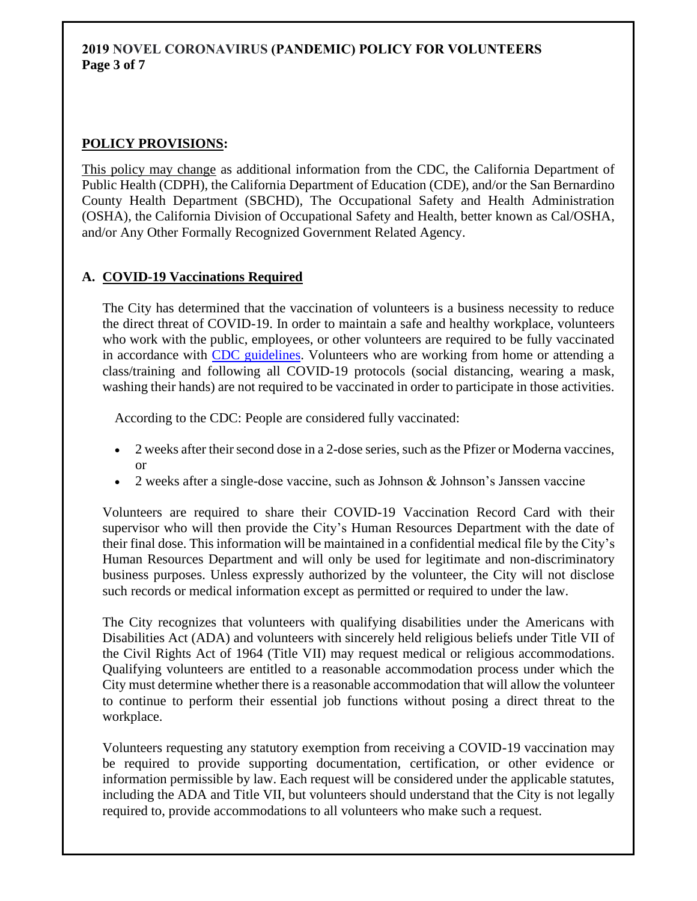### **2019 NOVEL CORONAVIRUS (PANDEMIC) POLICY FOR VOLUNTEERS Page 3 of 7**

# **POLICY PROVISIONS:**

This policy may change as additional information from the CDC, the California Department of Public Health (CDPH), the California Department of Education (CDE), and/or the San Bernardino County Health Department (SBCHD), The Occupational Safety and Health Administration (OSHA), the California Division of Occupational Safety and Health, better known as Cal/OSHA, and/or Any Other Formally Recognized Government Related Agency.

#### **A. COVID-19 Vaccinations Required**

The City has determined that the vaccination of volunteers is a business necessity to reduce the direct threat of COVID-19. In order to maintain a safe and healthy workplace, volunteers who work with the public, employees, or other volunteers are required to be fully vaccinated in accordance with [CDC guidelines.](https://www.cdc.gov/coronavirus/2019-ncov/vaccines/fully-vaccinated.html) Volunteers who are working from home or attending a class/training and following all COVID-19 protocols (social distancing, wearing a mask, washing their hands) are not required to be vaccinated in order to participate in those activities.

According to the CDC: People are considered fully vaccinated:

- 2 weeks after their second dose in a 2-dose series, such as the Pfizer or Moderna vaccines, or
- 2 weeks after a single-dose vaccine, such as Johnson & Johnson's Janssen vaccine

Volunteers are required to share their COVID-19 Vaccination Record Card with their supervisor who will then provide the City's Human Resources Department with the date of their final dose. This information will be maintained in a confidential medical file by the City's Human Resources Department and will only be used for legitimate and non-discriminatory business purposes. Unless expressly authorized by the volunteer, the City will not disclose such records or medical information except as permitted or required to under the law.

The City recognizes that volunteers with qualifying disabilities under the Americans with Disabilities Act (ADA) and volunteers with sincerely held religious beliefs under Title VII of the Civil Rights Act of 1964 (Title VII) may request medical or religious accommodations. Qualifying volunteers are entitled to a reasonable accommodation process under which the City must determine whether there is a reasonable accommodation that will allow the volunteer to continue to perform their essential job functions without posing a direct threat to the workplace.

Volunteers requesting any statutory exemption from receiving a COVID-19 vaccination may be required to provide supporting documentation, certification, or other evidence or information permissible by law. Each request will be considered under the applicable statutes, including the ADA and Title VII, but volunteers should understand that the City is not legally required to, provide accommodations to all volunteers who make such a request.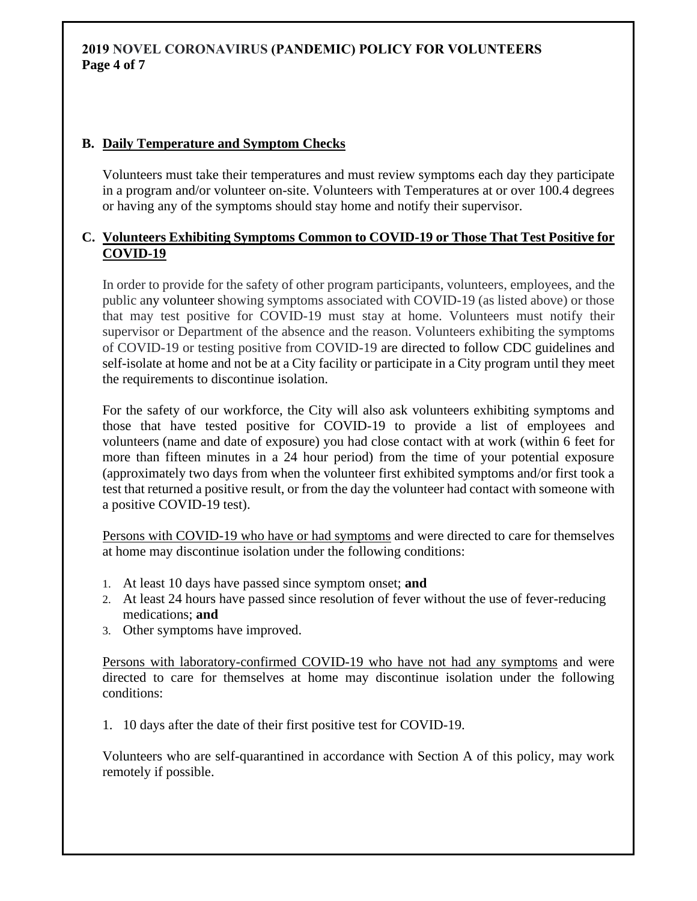## **2019 NOVEL CORONAVIRUS (PANDEMIC) POLICY FOR VOLUNTEERS Page 4 of 7**

#### **B. Daily Temperature and Symptom Checks**

Volunteers must take their temperatures and must review symptoms each day they participate in a program and/or volunteer on-site. Volunteers with Temperatures at or over 100.4 degrees or having any of the symptoms should stay home and notify their supervisor.

#### **C. Volunteers Exhibiting Symptoms Common to COVID-19 or Those That Test Positive for COVID-19**

In order to provide for the safety of other program participants, volunteers, employees, and the public any volunteer showing symptoms associated with COVID-19 (as listed above) or those that may test positive for COVID-19 must stay at home. Volunteers must notify their supervisor or Department of the absence and the reason. Volunteers exhibiting the symptoms of COVID-19 or testing positive from COVID-19 are directed to follow CDC guidelines and self-isolate at home and not be at a City facility or participate in a City program until they meet the requirements to discontinue isolation.

For the safety of our workforce, the City will also ask volunteers exhibiting symptoms and those that have tested positive for COVID-19 to provide a list of employees and volunteers (name and date of exposure) you had close contact with at work (within 6 feet for more than fifteen minutes in a 24 hour period) from the time of your potential exposure (approximately two days from when the volunteer first exhibited symptoms and/or first took a test that returned a positive result, or from the day the volunteer had contact with someone with a positive COVID-19 test).

Persons with COVID-19 who have or had symptoms and were directed to care for themselves at home may discontinue isolation under the following conditions:

- 1. At least 10 days have passed since symptom onset; **and**
- 2. At least 24 hours have passed since resolution of fever without the use of fever-reducing medications; **and**
- 3. Other symptoms have improved.

Persons with laboratory-confirmed COVID-19 who have not had any symptoms and were directed to care for themselves at home may discontinue isolation under the following conditions:

1. 10 days after the date of their first positive test for COVID-19.

Volunteers who are self-quarantined in accordance with Section A of this policy, may work remotely if possible.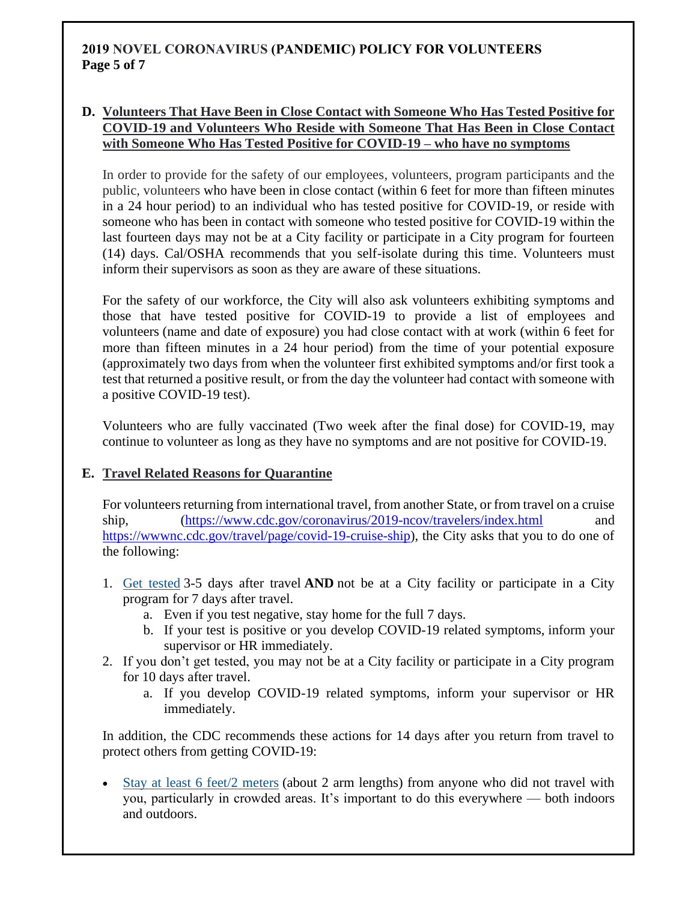# **2019 NOVEL CORONAVIRUS (PANDEMIC) POLICY FOR VOLUNTEERS Page 5 of 7**

#### **D. Volunteers That Have Been in Close Contact with Someone Who Has Tested Positive for COVID-19 and Volunteers Who Reside with Someone That Has Been in Close Contact with Someone Who Has Tested Positive for COVID-19 – who have no symptoms**

In order to provide for the safety of our employees, volunteers, program participants and the public, volunteers who have been in close contact (within 6 feet for more than fifteen minutes in a 24 hour period) to an individual who has tested positive for COVID-19, or reside with someone who has been in contact with someone who tested positive for COVID-19 within the last fourteen days may not be at a City facility or participate in a City program for fourteen (14) days. Cal/OSHA recommends that you self-isolate during this time. Volunteers must inform their supervisors as soon as they are aware of these situations.

For the safety of our workforce, the City will also ask volunteers exhibiting symptoms and those that have tested positive for COVID-19 to provide a list of employees and volunteers (name and date of exposure) you had close contact with at work (within 6 feet for more than fifteen minutes in a 24 hour period) from the time of your potential exposure (approximately two days from when the volunteer first exhibited symptoms and/or first took a test that returned a positive result, or from the day the volunteer had contact with someone with a positive COVID-19 test).

Volunteers who are fully vaccinated (Two week after the final dose) for COVID-19, may continue to volunteer as long as they have no symptoms and are not positive for COVID-19.

# **E. Travel Related Reasons for Quarantine**

For volunteers returning from international travel, from another State, or from travel on a cruise ship, [\(https://www.cdc.gov/coronavirus/2019-ncov/travelers/index.html](https://www.cdc.gov/coronavirus/2019-ncov/travelers/index.html) [https://wwwnc.cdc.gov/travel/page/covid-19-cruise-ship\)](https://wwwnc.cdc.gov/travel/page/covid-19-cruise-ship), the City asks that you to do one of the following:

- 1. [Get tested](https://gcc02.safelinks.protection.outlook.com/?url=https%3A%2F%2Fwww.cdc.gov%2Fcoronavirus%2F2019-ncov%2Ftravelers%2Ftesting-air-travel.html&data=04%7C01%7CRobert.Neiuber%40cityofrc.us%7Cdd29659db0f44c9e583808d89ecb73d6%7C4b433582df6c4498ac682ba6de5d8261%7C0%7C0%7C637433943946715569%7CUnknown%7CTWFpbGZsb3d8eyJWIjoiMC4wLjAwMDAiLCJQIjoiV2luMzIiLCJBTiI6Ik1haWwiLCJXVCI6Mn0%3D%7C1000&sdata=1XDOMf7e%2FR4I7DalER4d7EKkZ57VmqH77cRR8mWaxzI%3D&reserved=0) 3-5 days after travel **AND** not be at a City facility or participate in a City program for 7 days after travel.
	- a. Even if you test negative, stay home for the full 7 days.
	- b. If your test is positive or you develop COVID-19 related symptoms, inform your supervisor or HR immediately.
- 2. If you don't get tested, you may not be at a City facility or participate in a City program for 10 days after travel.
	- a. If you develop COVID-19 related symptoms, inform your supervisor or HR immediately.

In addition, the CDC recommends these actions for 14 days after you return from travel to protect others from getting COVID-19:

• [Stay at least 6 feet/2 meters](https://gcc02.safelinks.protection.outlook.com/?url=https%3A%2F%2Fwww.cdc.gov%2Fcoronavirus%2F2019-ncov%2Fprevent-getting-sick%2Fsocial-distancing.html&data=04%7C01%7CRobert.Neiuber%40cityofrc.us%7Cdd29659db0f44c9e583808d89ecb73d6%7C4b433582df6c4498ac682ba6de5d8261%7C0%7C0%7C637433943946735483%7CUnknown%7CTWFpbGZsb3d8eyJWIjoiMC4wLjAwMDAiLCJQIjoiV2luMzIiLCJBTiI6Ik1haWwiLCJXVCI6Mn0%3D%7C1000&sdata=FVN8FK3uwshC52VeTKjTJTedHYb2jbhkytxFHrHeeWA%3D&reserved=0) (about 2 arm lengths) from anyone who did not travel with you, particularly in crowded areas. It's important to do this everywhere — both indoors and outdoors.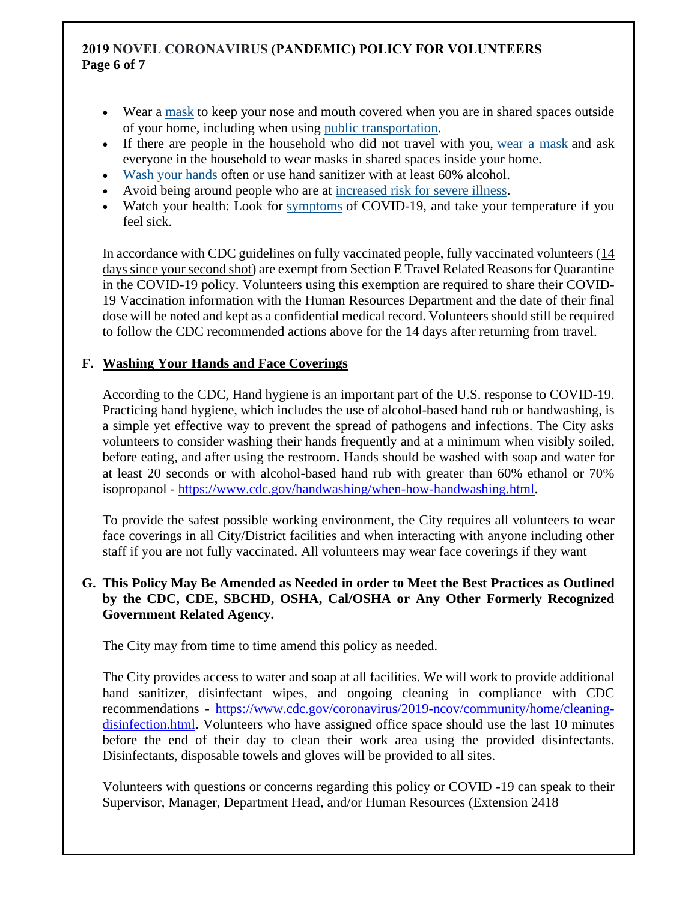## **2019 NOVEL CORONAVIRUS (PANDEMIC) POLICY FOR VOLUNTEERS Page 6 of 7**

- Wear a [mask](https://gcc02.safelinks.protection.outlook.com/?url=https%3A%2F%2Fwww.cdc.gov%2Fcoronavirus%2F2019-ncov%2Fprevent-getting-sick%2Fabout-face-coverings.html&data=04%7C01%7CRobert.Neiuber%40cityofrc.us%7Cdd29659db0f44c9e583808d89ecb73d6%7C4b433582df6c4498ac682ba6de5d8261%7C0%7C0%7C637433943946745439%7CUnknown%7CTWFpbGZsb3d8eyJWIjoiMC4wLjAwMDAiLCJQIjoiV2luMzIiLCJBTiI6Ik1haWwiLCJXVCI6Mn0%3D%7C1000&sdata=CN6Qj5nAiLoVLiSa7SnR2n2v8p8gxoON%2FswGmoMxN%2FA%3D&reserved=0) to keep your nose and mouth covered when you are in shared spaces outside of your home, including when using [public transportation.](https://gcc02.safelinks.protection.outlook.com/?url=https%3A%2F%2Fwww.cdc.gov%2Fcoronavirus%2F2019-ncov%2Ftravelers%2Fface-masks-public-transportation.html&data=04%7C01%7CRobert.Neiuber%40cityofrc.us%7Cdd29659db0f44c9e583808d89ecb73d6%7C4b433582df6c4498ac682ba6de5d8261%7C0%7C0%7C637433943946745439%7CUnknown%7CTWFpbGZsb3d8eyJWIjoiMC4wLjAwMDAiLCJQIjoiV2luMzIiLCJBTiI6Ik1haWwiLCJXVCI6Mn0%3D%7C1000&sdata=t6PkV2utGnYPX3MtHfmb9KakPNnpUHwZATmwL2JLKBY%3D&reserved=0)
- If there are people in the household who did not travel with you, [wear a mask](https://gcc02.safelinks.protection.outlook.com/?url=https%3A%2F%2Fwww.cdc.gov%2Fcoronavirus%2F2019-ncov%2Fprevent-getting-sick%2Fdiy-cloth-face-coverings.html&data=04%7C01%7CRobert.Neiuber%40cityofrc.us%7Cdd29659db0f44c9e583808d89ecb73d6%7C4b433582df6c4498ac682ba6de5d8261%7C0%7C0%7C637433943946755396%7CUnknown%7CTWFpbGZsb3d8eyJWIjoiMC4wLjAwMDAiLCJQIjoiV2luMzIiLCJBTiI6Ik1haWwiLCJXVCI6Mn0%3D%7C1000&sdata=8By0z%2FzzLvVTakH3cGYkjfuzStaWYuTSxlEBe4vHUM4%3D&reserved=0) and ask everyone in the household to wear masks in shared spaces inside your home.
- [Wash your hands](https://gcc02.safelinks.protection.outlook.com/?url=https%3A%2F%2Fwww.cdc.gov%2Fcoronavirus%2F2019-ncov%2Fprevent-getting-sick%2Fprevention.html&data=04%7C01%7CRobert.Neiuber%40cityofrc.us%7Cdd29659db0f44c9e583808d89ecb73d6%7C4b433582df6c4498ac682ba6de5d8261%7C0%7C0%7C637433943946755396%7CUnknown%7CTWFpbGZsb3d8eyJWIjoiMC4wLjAwMDAiLCJQIjoiV2luMzIiLCJBTiI6Ik1haWwiLCJXVCI6Mn0%3D%7C1000&sdata=yaIWhHnA2Jw%2FQeH%2BpdhLn2H7MNrz4KEtdeVUQ26celM%3D&reserved=0) often or use hand sanitizer with at least 60% alcohol.
- Avoid being around people who are at [increased risk for severe illness.](https://gcc02.safelinks.protection.outlook.com/?url=https%3A%2F%2Fwww.cdc.gov%2Fcoronavirus%2F2019-ncov%2Fneed-extra-precautions%2Fpeople-at-increased-risk.html&data=04%7C01%7CRobert.Neiuber%40cityofrc.us%7Cdd29659db0f44c9e583808d89ecb73d6%7C4b433582df6c4498ac682ba6de5d8261%7C0%7C0%7C637433943946765351%7CUnknown%7CTWFpbGZsb3d8eyJWIjoiMC4wLjAwMDAiLCJQIjoiV2luMzIiLCJBTiI6Ik1haWwiLCJXVCI6Mn0%3D%7C1000&sdata=zbwyE32vYTF2aGeDVMnpCIiUUKtyFokzya3PKzmmP0Q%3D&reserved=0)
- Watch your health: Look for [symptoms](https://gcc02.safelinks.protection.outlook.com/?url=https%3A%2F%2Fwww.cdc.gov%2Fcoronavirus%2F2019-ncov%2Fsymptoms-testing%2Fsymptoms.html&data=04%7C01%7CRobert.Neiuber%40cityofrc.us%7Cdd29659db0f44c9e583808d89ecb73d6%7C4b433582df6c4498ac682ba6de5d8261%7C0%7C0%7C637433943946765351%7CUnknown%7CTWFpbGZsb3d8eyJWIjoiMC4wLjAwMDAiLCJQIjoiV2luMzIiLCJBTiI6Ik1haWwiLCJXVCI6Mn0%3D%7C1000&sdata=%2BYz7GeLjEsEMeaAaaDXLM0m5tLp8ZZXj5YXQZ6aDA7k%3D&reserved=0) of COVID-19, and take your temperature if you feel sick.

In accordance with CDC guidelines on fully vaccinated people, fully vaccinated volunteers (14 days since your second shot) are exempt from Section E Travel Related Reasons for Quarantine in the COVID-19 policy. Volunteers using this exemption are required to share their COVID-19 Vaccination information with the Human Resources Department and the date of their final dose will be noted and kept as a confidential medical record. Volunteers should still be required to follow the CDC recommended actions above for the 14 days after returning from travel.

#### **F. Washing Your Hands and Face Coverings**

According to the CDC, Hand hygiene is an important part of the U.S. response to COVID-19. Practicing hand hygiene, which includes the use of alcohol-based hand rub or handwashing, is a simple yet effective way to prevent the spread of pathogens and infections. The City asks volunteers to consider washing their hands frequently and at a minimum when visibly soiled, before eating, and after using the restroom**.** Hands should be washed with soap and water for at least 20 seconds or with alcohol-based hand rub with greater than 60% ethanol or 70% isopropanol - [https://www.cdc.gov/handwashing/when-how-handwashing.html.](https://www.cdc.gov/handwashing/when-how-handwashing.html)

To provide the safest possible working environment, the City requires all volunteers to wear face coverings in all City/District facilities and when interacting with anyone including other staff if you are not fully vaccinated. All volunteers may wear face coverings if they want

#### **G. This Policy May Be Amended as Needed in order to Meet the Best Practices as Outlined by the CDC, CDE, SBCHD, OSHA, Cal/OSHA or Any Other Formerly Recognized Government Related Agency.**

The City may from time to time amend this policy as needed.

The City provides access to water and soap at all facilities. We will work to provide additional hand sanitizer, disinfectant wipes, and ongoing cleaning in compliance with CDC recommendations - [https://www.cdc.gov/coronavirus/2019-ncov/community/home/cleaning](https://www.cdc.gov/coronavirus/2019-ncov/community/home/cleaning-disinfection.html)[disinfection.html.](https://www.cdc.gov/coronavirus/2019-ncov/community/home/cleaning-disinfection.html) Volunteers who have assigned office space should use the last 10 minutes before the end of their day to clean their work area using the provided disinfectants. Disinfectants, disposable towels and gloves will be provided to all sites.

Volunteers with questions or concerns regarding this policy or COVID -19 can speak to their Supervisor, Manager, Department Head, and/or Human Resources (Extension 2418